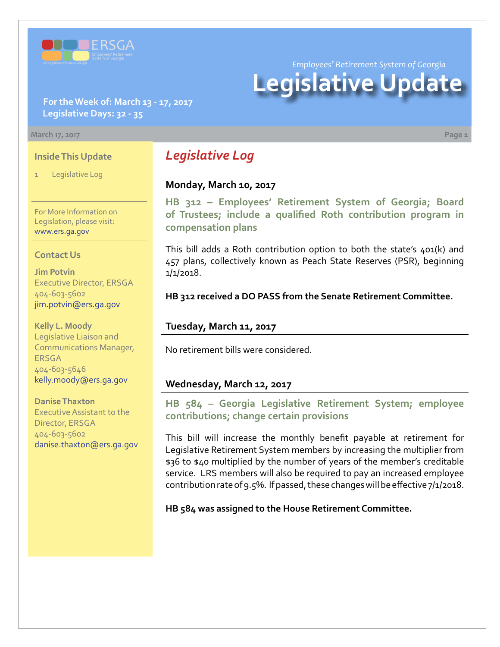

*Employees' Retirement System of Georgia*

# **Legislative Update**

**For the Week of: March 13 - 17, 2017 Legislative Days: 32 - 35**

#### **March 17, 2017 Page 1**

#### **Inside This Update**

Legislative Log

For More Information on Legislation, please visit: [www.ers.ga.gov](http://www.ers.ga.gov/default.aspx)

#### **Contact Us**

**Jim Potvin** Executive Director, ERSGA 404-603-5602 jim.potvin@ers.ga.gov

**Kelly L. Moody** Legislative Liaison and Communications Manager, ERSGA 404-603-5646 kelly.moody@ers.ga.gov

**Danise Thaxton** Executive Assistant to the

Director, ERSGA 404-603-5602 danise.thaxton@ers.ga.gov

# *Legislative Log*

#### **Monday, March 10, 2017**

**HB 312 [–](http://www.legis.ga.gov/Legislation/20172018/164532.pdf) [Employees' Retirement System of Georgia; Board](http://www.legis.ga.gov/Legislation/20172018/164841.pdf) [of Trustees; include a qualified Roth contribution program in](http://www.legis.ga.gov/Legislation/20172018/164841.pdf) [compensation plans](http://www.legis.ga.gov/Legislation/20172018/164841.pdf)**

This bill adds a Roth contribution option to both the state's 401(k) and 457 plans, collectively known as Peach State Reserves (PSR), beginning 1/1/2018.

**HB 312 received a DO PASS from the Senate Retirement Committee.** 

#### **Tuesday, March 11, 2017**

No retirement bills were considered.

#### **Wednesday, March 12, 2017**

**HB 584 [–](http://www.legis.ga.gov/legislation/en-US/Display/20172018/HB/584) Georgia Legislative Retirement System; employee contributions; change certain provisions**

This bill will increase the monthly benefit payable at retirement for Legislative Retirement System members by increasing the multiplier from \$36 to \$40 multiplied by the number of years of the member's creditable service. LRS members will also be required to pay an increased employee contribution rate of 9.5%. If passed, these changes will be effective 7/1/2018.

**HB 584 was assigned to the House Retirement Committee.**